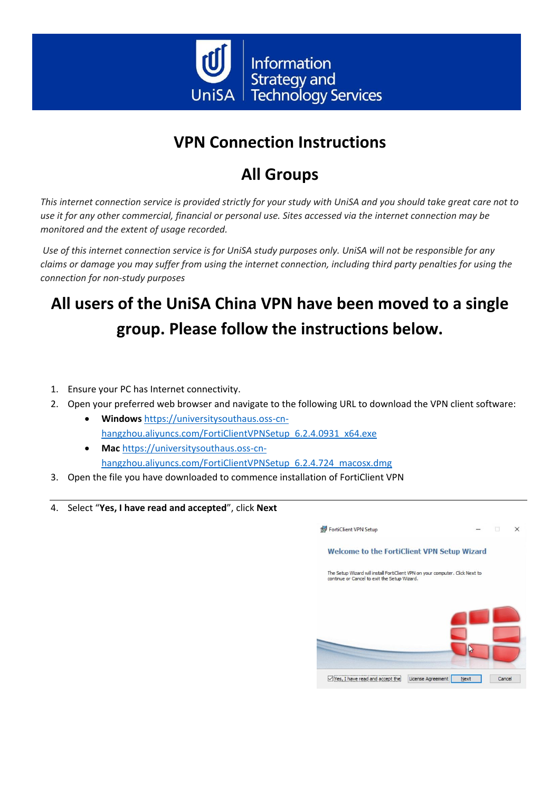

# **VPN Connection Instructions**

## **All Groups**

*This internet connection service is provided strictly for your study with UniSA and you should take great care not to use it for any other commercial, financial or personal use. Sites accessed via the internet connection may be monitored and the extent of usage recorded.*

*Use of this internet connection service is for UniSA study purposes only. UniSA will not be responsible for any claims or damage you may suffer from using the internet connection, including third party penalties for using the connection for non-study purposes*

# **All users of the UniSA China VPN have been moved to a single group. Please follow the instructions below.**

- 1. Ensure your PC has Internet connectivity.
- 2. Open your preferred web browser and navigate to the following URL to download the VPN client software:
	- **Windows** [https://universitysouthaus.oss-cn](https://universitysouthaus.oss-cn-hangzhou.aliyuncs.com/FortiClientVPNSetup_6.2.4.0931_x64.exe)[hangzhou.aliyuncs.com/FortiClientVPNSetup\\_6.2.4.0931\\_x64.exe](https://universitysouthaus.oss-cn-hangzhou.aliyuncs.com/FortiClientVPNSetup_6.2.4.0931_x64.exe)
	- **Mac** [https://universitysouthaus.oss-cn](https://universitysouthaus.oss-cn-hangzhou.aliyuncs.com/FortiClientVPNSetup_6.2.4.724_macosx.dmg)[hangzhou.aliyuncs.com/FortiClientVPNSetup\\_6.2.4.724\\_macosx.dmg](https://universitysouthaus.oss-cn-hangzhou.aliyuncs.com/FortiClientVPNSetup_6.2.4.724_macosx.dmg)
- 3. Open the file you have downloaded to commence installation of FortiClient VPN
- 4. Select "**Yes, I have read and accepted**", click **Next**

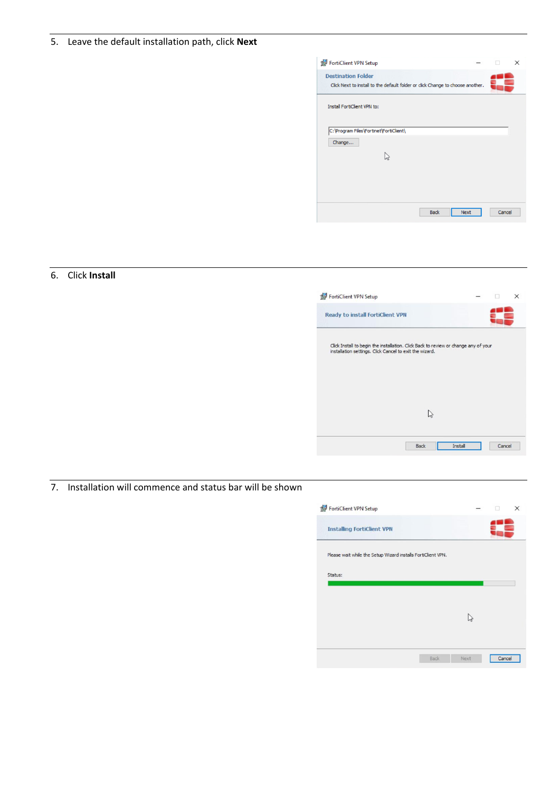#### 5. Leave the default installation path, click **Next**

| FortiClient VPN Setup                                                                                       |             |             | M | $\times$ |
|-------------------------------------------------------------------------------------------------------------|-------------|-------------|---|----------|
| <b>Destination Folder</b><br>Click Next to install to the default folder or click Change to choose another. |             |             |   |          |
| Install FortiClient VPN to:                                                                                 |             |             |   |          |
| C: \Program Files\Fortinet\FortiClient\<br>Change                                                           |             |             |   |          |
|                                                                                                             |             |             |   |          |
|                                                                                                             |             |             |   |          |
|                                                                                                             |             |             |   |          |
|                                                                                                             | <b>Back</b> | <b>Next</b> |   | Cancel   |

## 6. Click **Install**



7. Installation will commence and status bar will be shown

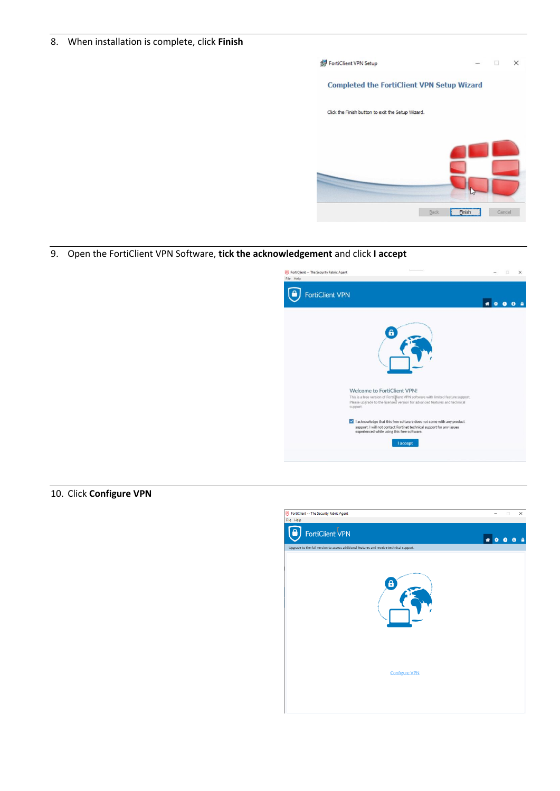#### 8. When installation is complete, click **Finish**



#### 9. Open the FortiClient VPN Software, **tick the acknowledgement** and click **I accept**



10. Click **Configure VPN**

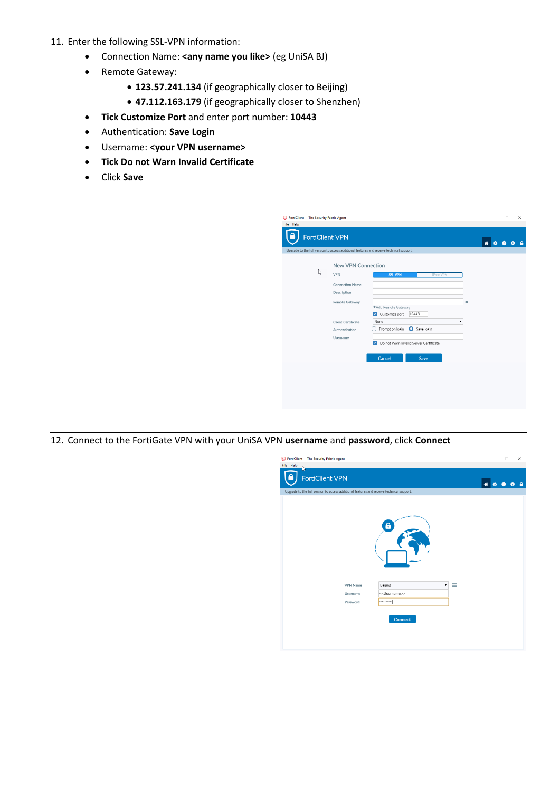### 11. Enter the following SSL-VPN information:

- Connection Name: **<any name you like>** (eg UniSA BJ)
- Remote Gateway:
	- **123.57.241.134** (if geographically closer to Beijing)
	- **47.112.163.179** (if geographically closer to Shenzhen)
- **Tick Customize Port** and enter port number: **10443**
- Authentication: **Save Login**
- Username: **<your VPN username>**
- **Tick Do not Warn Invalid Certificate**
- Click **Save**

| FortiClient -- The Security Fabric Agent<br>File Help<br><b>FortiClient VPN</b><br>Upgrade to the full version to access additional features and receive technical support. |                                                                                                                                                                                                                                                | Ω<br>× |
|-----------------------------------------------------------------------------------------------------------------------------------------------------------------------------|------------------------------------------------------------------------------------------------------------------------------------------------------------------------------------------------------------------------------------------------|--------|
| <b>New VPN Connection</b><br>た<br><b>VPN</b><br><b>Connection Name</b><br>Description<br><b>Remote Gateway</b><br><b>Client Certificate</b><br>Authentication<br>Username   | <b>SSL-VPN</b><br><b>IPsec VPN</b><br>×<br>+Add Remote Gateway<br>V Customize port<br>10443<br>۰<br>None<br>Prompt on login<br>Save login<br>$\overline{\mathsf{v}}$<br>Do not Warn Invalid Server Certificate<br><b>Cancel</b><br><b>Save</b> |        |

12. Connect to the FortiGate VPN with your UniSA VPN **username** and **password**, click **Connect**